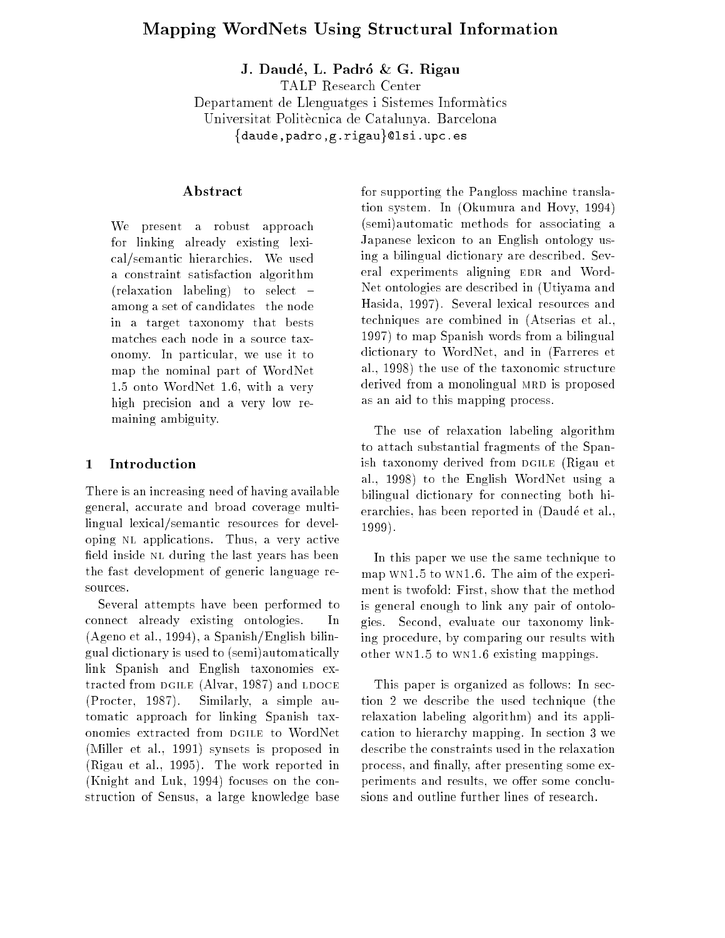# Mapping WordNets Using Structural Information

J. Daudé, L. Padró & G. Rigau

TALP Research Center Departament de Llenguatges i Sistemes Informatics Universitat Politècnica de Catalunya. Barcelona {daude,padro,g.rigau}@lsi.upc.es

## Abstract

We present a robust approach for linking already existing lexical/semantic hierarchies. We used a constraint satisfaction algorithm (relaxation labeling) to select  $=$ among a set of candidates-the node in a target taxonomy that bests matches each node in a source taxonomy. In particular, we use it to map the nominal part of WordNet 1.5 onto WordNet 1.6, with a very high precision and a very low remaining ambiguity.

#### **Introduction**  $\mathbf{1}$

There is an increasing need of having available general, accurate and broad coverage multilingual lexical/semantic resources for developing nl applications. Thus, a very active field inside NL during the last years has been the fast development of generic language resources.

Several attempts have been performed to connect already existing ontologies. In (Ageno et al., 1994), a Spanish/English bilingual dictionary is used to (semi)automatically link Spanish and English taxonomies extracted from DGILE (Alvar, 1987) and LDOCE (Procter, 1987). Similarly, a simple automatic approach for linking Spanish taxonomies extracted from DGILE to WordNet (Miller et al., 1991) synsets is proposed in (Rigau et al., 1995). The work reported in (Knight and Luk, 1994) focuses on the construction of Sensus, a large knowledge base

for supporting the Pangloss machine translation system. In (Okumura and Hovy, 1994) (semi)automatic methods for associating a Japanese lexicon to an English ontology using a bilingual dictionary are described. Several experiments aligning EDR and Word-Net ontologies are described in (Utiyama and Hasida, 1997). Several lexical resources and techniques are combined in (Atserias et al., 1997) to map Spanish words from a bilingual dictionary to WordNet, and in (Farreres et al., 1998) the use of the taxonomic structure derived from a monolingual MRD is proposed as an aid to this mapping process.

The use of relaxation labeling algorithm to attach substantial fragments of the Spanish taxonomy derived from DGILE (Rigau et al., 1998) to the English WordNet using a bilingual dictionary for connecting both hierarchies, has been reported in (Daudé et al., 1999).

In this paper we use the same technique to map wn1.5 to wn1.6. The aim of the experiment is twofold: First, show that the method is general enough to link any pair of ontologies. Second, evaluate our taxonomy linking procedure, by comparing our results with other wn1.5 to wn1.6 existing mappings.

This paper is organized as follows: In section 2 we describe the used technique (the relaxation labeling algorithm) and its application to hierarchy mapping. In section 3 we describe the constraints used in the relaxation process, and finally, after presenting some experiments and results, we offer some conclusions and outline further lines of research.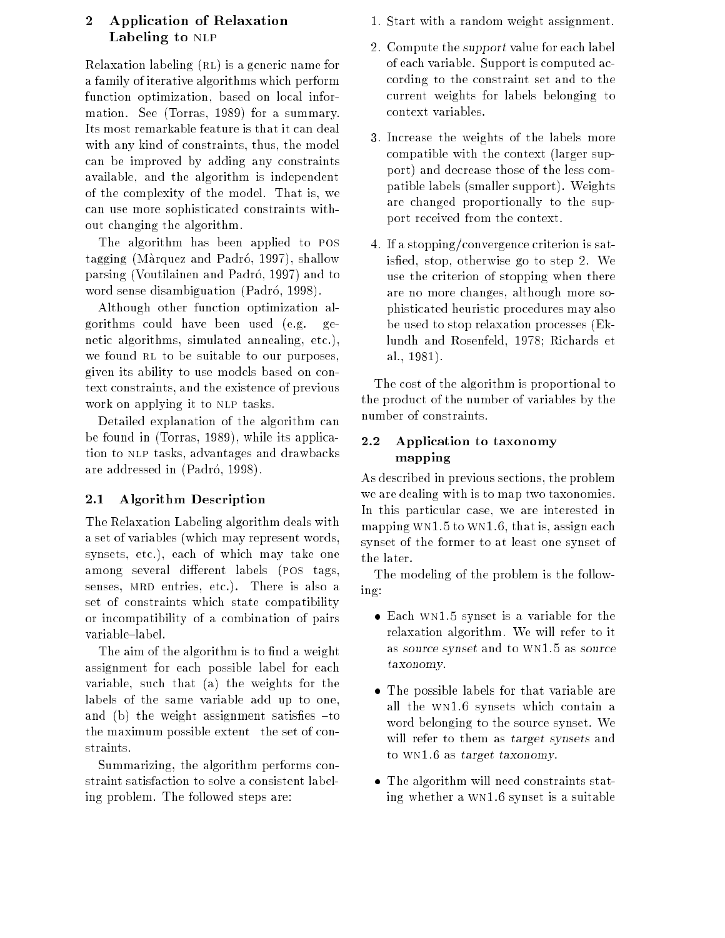## 2 Application of Relaxation Labeling to NLP

Relaxation labeling (RL) is a generic name for a family of iterative algorithms which perform function optimization, based on local information. See (Torras, 1989) for a summary. Its most remarkable feature is that it can deal with any kind of constraints, thus, the model can be improved by adding any constraints available, and the algorithm is independent of the complexity of the model. That is, we can use more sophisticated constraints without changing the algorithm.

The algorithm has been applied to pos tagging (Màrquez and Padró, 1997), shallow parsing (Voutilainen and Padro, 1997) and to word sense disambiguation (Padró, 1998).

Although other function optimization algorithms could have been used (e.g. genetic algorithms, simulated annealing, etc.), we found RL to be suitable to our purposes, given its ability to use models based on context constraints, and the existence of previous work on applying it to NLP tasks.

Detailed explanation of the algorithm can be found in (Torras, 1989), while its application to nlp tasks, advantages and drawbacks are addressed in (Padró, 1998).

## 2.1 Algorithm Description

The Relaxation Labeling algorithm deals with a set of variables (which may represent words, synsets, etc.), each of which may take one among several different labels (POS tags, senses, MRD entries, etc.). There is also a set of constraints which state compatibility or incompatibility of a combination of pairs variable-label.

The aim of the algorithm is to find a weight assignment for each possible label for each variable, such that (a) the weights for the labels of the same variable add up to one, and (b) the weight assignment satisfies  $-t_0$ the maximum possible extent- the set of constraints.

Summarizing, the algorithm performs constraint satisfaction to solve a consistent labeling problem. The followed steps are:

- 1. Start with a random weight assignment.
- 2. Compute the support value for each label of each variable. Support is computed according to the constraint set and to the current weights for labels belonging to context variables.
- 3. Increase the weights of the labels more compatible with the context (larger support) and decrease those of the less compatible labels (smaller support). Weights are changed proportionally to the support received from the context.
- 4. If a stopping/convergence criterion is satisfied, stop, otherwise go to step 2. We use the criterion of stopping when there are no more changes, although more sophisticated heuristic procedures may also be used to stop relaxation processes (Eklundh and Rosenfeld, 1978; Richards et al., 1981).

The cost of the algorithm is proportional to the product of the number of variables by the number of constraints.

#### $2.2$ Application to taxonomy mapping

As described in previous sections, the problem we are dealing with is to map two taxonomies. In this particular case, we are interested in mapping wn1.5 to wn1.6, that is, assign each synset of the former to at least one synset of the later.

The modeling of the problem is the following:

- Each wn1.5 synset is a variable for the relaxation algorithm. We will refer to it as source synset and to wn1.5 as source taxonomy.
- The possible labels for that variable are all the wn1.6 synsets which contain a word belonging to the source synset. We will refer to them as target synsets and to wn1.6 as target taxonomy.
- The algorithm will need constraints stating whether a wn1.6 synset is a suitable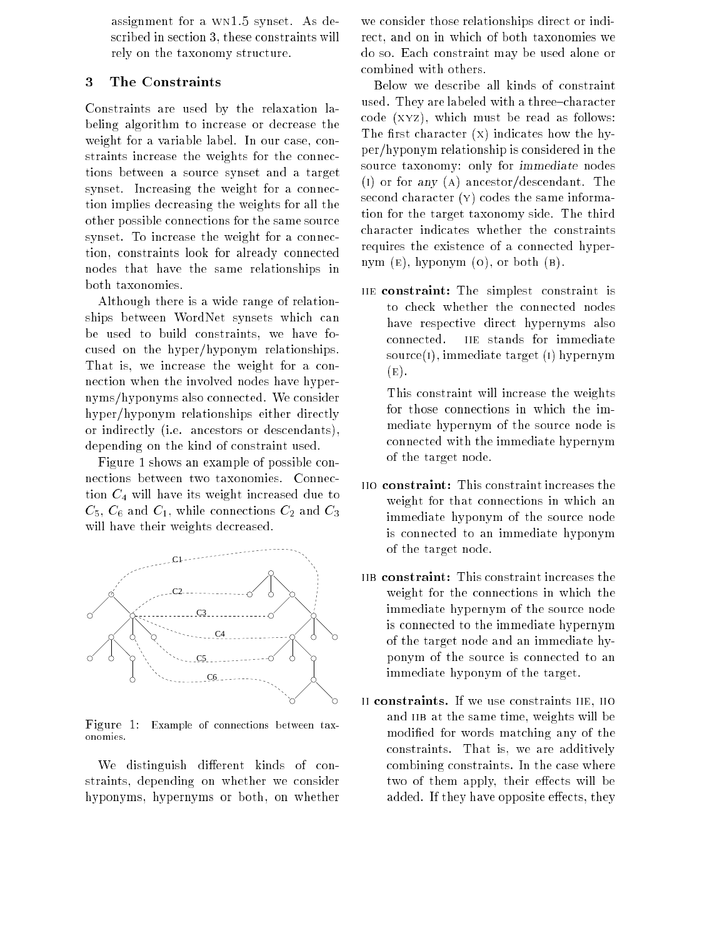assignment for a wn1.5 synset. As described in section 3, these constraints will rely on the taxonomy structure.

### 3 The Constraints

Constraints are used by the relaxation labeling algorithm to increase or decrease the weight for a variable label. In our case, constraints increase the weights for the connections between a source synset and a target synset. Increasing the weight for a connection implies decreasing the weights for all the other possible connections for the same source synset. To increase the weight for a connection, constraints look for already connected nodes that have the same relationships in both taxonomies.

Although there is a wide range of relationships between WordNet synsets which can be used to build constraints, we have focused on the hyper/hyponym relationships. That is, we increase the weight for a connection when the involved nodes have hypernyms/hyponyms also connected. We consider hyper/hyponym relationships either directly or indirectly (i.e. ancestors or descendants), depending on the kind of constraint used.

Figure 1 shows an example of possible connections between two taxonomies. Connection  $C_4$  will have its weight increased due to  $C_5$ ,  $C_6$  and  $C_1$ , while connections  $C_2$  and  $C_3$ will have their weights decreased.



Figure 1: Example of connections between taxonomies.

We distinguish different kinds of constraints, depending on whether we consider hyponyms, hypernyms or both, on whether

we consider those relationships direct or indirect, and on in which of both taxonomies we do so. Each constraint may be used alone or combined with others.

Below we describe all kinds of constraint used. They are labeled with a three-character code (xyz), which must be read as follows: The first character  $(X)$  indicates how the hyper/hyponym relationship is considered in the source taxonomy: only for immediate nodes (i) or for any (a) ancestor/descendant. The second character (y) codes the same information for the target taxonomy side. The third character indicates whether the constraints requires the existence of a connected hypernym  $(E)$ , hyponym  $(O)$ , or both  $(B)$ .

iie constraint: The simplest constraint is to check whether the connected nodes have respective direct hypernyms also connected. IIE stands for immediate source(i), immediate target (i) hypernym  $(E).$ 

This constraint will increase the weights for those connections in which the immediate hypernym of the source node is connected with the immediate hypernym of the target node.

- weight for that connections in which an immediate hyponym of the source node is connected to an immediate hyponym of the target node.
- iib constraint: This constraint increases the weight for the connections in which the immediate hypernym of the source node is connected to the immediate hypernym of the target node and an immediate hyponym of the source is connected to an immediate hyponym of the target.
- ii constraints. If we use constraints iie, iio and IIB at the same time, weights will be modied for words matching any of the constraints. That is, we are additively combining constraints. In the case where two of them apply, their effects will be added. If they have opposite effects, they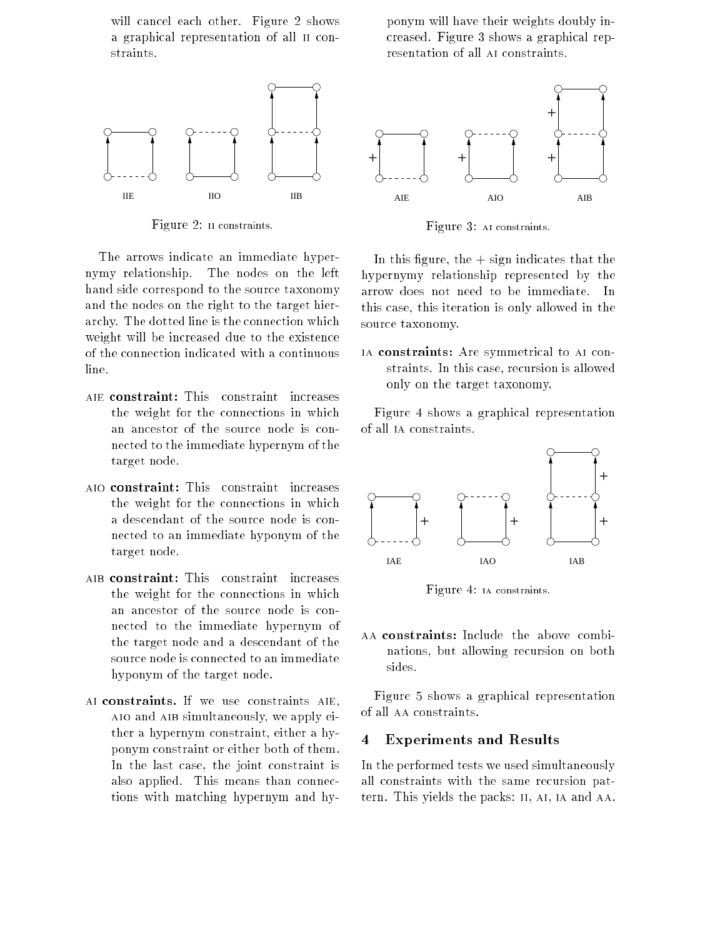will cancel each other. Figure 2 shows a graphical representation of all ii constraints.



Figure 2: ii constraints.

The arrows indicate an immediate hypernymy relationship. The nodes on the left hand side correspond to the source taxonomy and the nodes on the right to the target hierarchy. The dotted line is the connection which weight will be increased due to the existence of the connection indicated with a continuous line.

- the weight for the connections in which  $\mathbf{t}$  the connections in which for the connections in which for the connections in which for the connections in which for the connections in  $\mathbf{t}$ an ancestor of the source node is connected to the immediate hypernym of the target node.
- the weight for the connections in which a descendant of the source node is connected to an immediate hyponym of the target node.
- the weight for the connections in which an ancestor of the source node is connected to the immediate hypernym of the target node and a descendant of the source node is connected to an immediate hyponym of the target node.
- ai constraints. If we use constraints aie, aio and aib simultaneously, we apply either a hypernym constraint, either a hyponym constraint or either both of them. In the last case, the joint constraint is also applied. This means than connections with matching hypernym and hy-

ponym will have their weights doubly increased. Figure 3 shows a graphical representation of all AI constraints.



Figure 3: ai constraints.

In this figure, the  $+$  sign indicates that the hypernymy relationship represented by the arrow does not need to be immediate. In this case, this iteration is only allowed in the source taxonomy.

ia constraints: Are symmetrical to ai constraints. In this case, recursion is allowed only on the target taxonomy.

Figure 4 shows a graphical representation of all ia constraints.



Figure 4: ia constraints.

nations, but allowing recursion on both sides.

Figure 5 shows a graphical representation of all aa constraints.

#### **Experiments and Results**  $\overline{\mathbf{4}}$

In the performed tests we used simultaneously all constraints with the same recursion pattern. This yields the packs: ii, ai, ia and aa.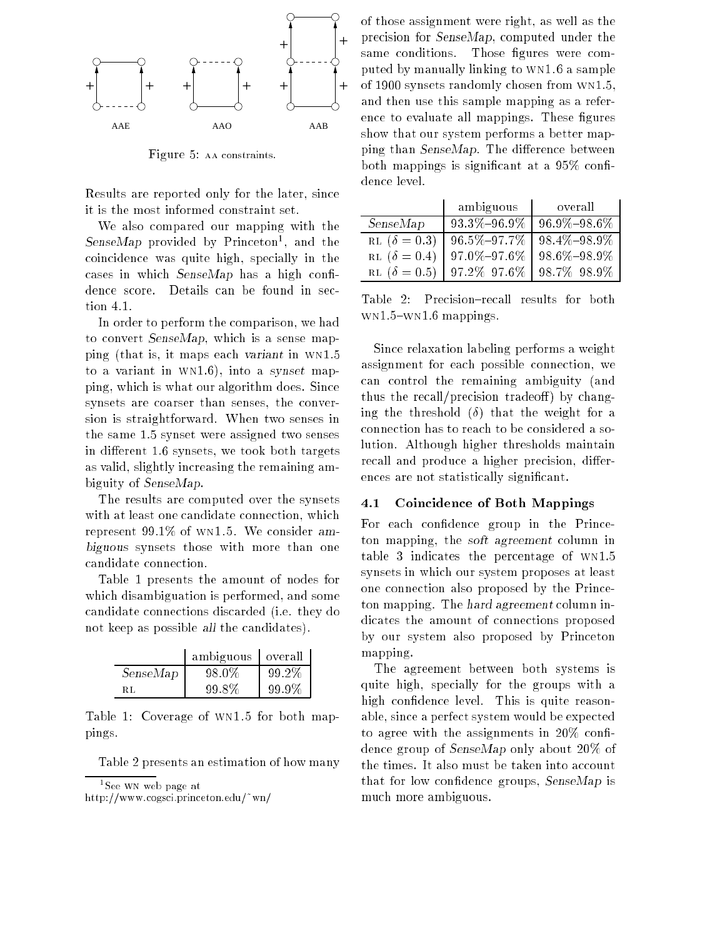

Figure 5: aa constraints.

Results are reported only for the later, since it is the most informed constraint set.

We also compared our mapping with the SenseMap provided by Princeton<sup>1</sup> , and the coincidence was quite high, specially in the cases in which  $SenseMap$  has a high confidence score. Details can be found in section 4.1.

In order to perform the comparison, we had to convert SenseMap, which is a sense mapping (that is, it maps each variant in wn1.5 to a variant in wn1.6), into a synset mapping, which is what our algorithm does. Since synsets are coarser than senses, the conversion is straightforward. When two senses in the same 1.5 synset were assigned two senses in different 1.6 synsets, we took both targets as valid, slightly increasing the remaining ambiguity of SenseMap.

The results are computed over the synsets with at least one candidate connection, which represent 99.1% of wn1.5. We consider ambiguous synsets those with more than one candidate connection.

Table 1 presents the amount of nodes for which disambiguation is performed, and some candidate connections discarded (i.e. they do not keep as possible all the candidates).

|          | ambiguous | overall |
|----------|-----------|---------|
| SenseMap | 98.0%     | 99.2%   |
| RT.      | 99.8%     | 99.9%   |

Table 1: Coverage of wn1.5 for both mappings.

Table 2 presents an estimation of how many

http://www.cogsci.princeton.edu/~wn/

of those assignment were right, as well as the precision for SenseMap, computed under the same conditions. Those figures were computed by manually linking to wn1.6 a sample of 1900 synsets randomly chosen from wn1.5, and then use this sample mapping as a reference to evaluate all mappings. These figures show that our system performs a better mapping than  $SenseMap$ . The difference between both mappings is significant at a  $95\%$  confidence level.

|                     | ambiguous         | overall           |  |  |
|---------------------|-------------------|-------------------|--|--|
| SenseMap            | $93.3\% - 96.9\%$ | $96.9\% - 98.6\%$ |  |  |
| RL $(\delta = 0.3)$ | $96.5\% - 97.7\%$ | $98.4\% - 98.9\%$ |  |  |
| RL $(\delta = 0.4)$ | $97.0\%{-}97.6\%$ | $98.6\% - 98.9\%$ |  |  |
| RL $(\delta = 0.5)$ | $97.2\% - 97.6\%$ | 98.7%-98.9%       |  |  |

Table 2: Precision-recall results for both  $WN1.5-WN1.6$  mappings.

Since relaxation labeling performs a weight assignment for each possible connection, we can control the remaining ambiguity (and thus the recall/precision tradeoff) by changing the threshold  $(\delta)$  that the weight for a connection has to reach to be considered a solution. Although higher thresholds maintain recall and produce a higher precision, differences are not statistically signicant.

#### 4.1 Coincidence of Both Mappings

For each condence group in the Princeton mapping, the soft agreement column in table 3 indicates the percentage of wn1.5 synsets in which our system proposes at least one connection also proposed by the Princeton mapping. The hard agreement column indicates the amount of connections proposed by our system also proposed by Princeton mapping.

The agreement between both systems is quite high, specially for the groups with a high confidence level. This is quite reasonable, since a perfect system would be expected to agree with the assignments in  $20\%$  confidence group of SenseMap only about 20% of the times. It also must be taken into account that for low confidence groups, SenseMap is much more ambiguous.

<sup>&</sup>lt;sup>1</sup> See WN web page at where we we have at the page at the second second terms of the second second terms of the second second terms of the second second terms of the second second terms of the second second second second second second second se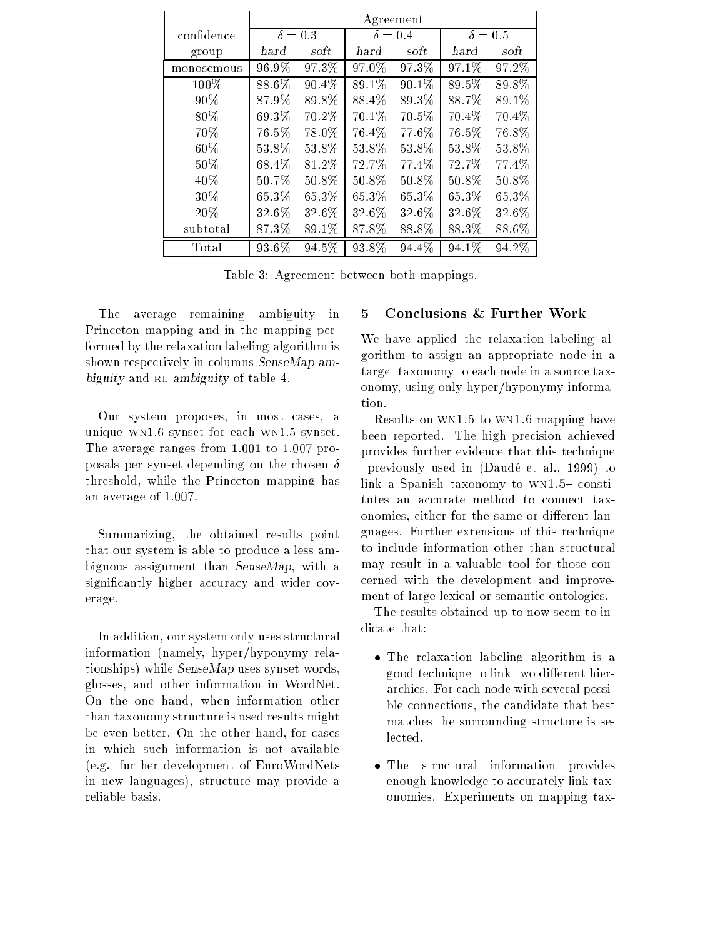|            | Agreement      |       |                |       |                |          |
|------------|----------------|-------|----------------|-------|----------------|----------|
| confidence | $\delta = 0.3$ |       | $\delta = 0.4$ |       | $\delta = 0.5$ |          |
| group      | hard           | soft  | hard           | soft  | hard           | soft     |
| monosemous | 96.9%          | 97.3% | $97.0\%$       | 97.3% | 97.1%          | 97.2%    |
| $100\%$    | 88.6%          | 90.4% | 89.1%          | 90.1% | 89.5%          | 89.8%    |
| 90%        | 87.9%          | 89.8% | 88.4%          | 89.3% | 88.7%          | 89.1%    |
| 80%        | 69.3%          | 70.2% | 70.1%          | 70.5% | 70.4%          | 70.4%    |
| 70%        | 76.5%          | 78.0% | 76.4%          | 77.6% | 76.5%          | 76.8%    |
| 60%        | 53.8%          | 53.8% | 53.8%          | 53.8% | 53.8%          | 53.8%    |
| 50%        | 68.4%          | 81.2% | 72.7%          | 77.4% | 72.7%          | 77.4%    |
| 40%        | 50.7%          | 50.8% | $50.8\%$       | 50.8% | 50.8%          | $50.8\%$ |
| 30%        | 65.3%          | 65.3% | 65.3%          | 65.3% | 65.3%          | 65.3%    |
| 20%        | 32.6%          | 32.6% | 32.6%          | 32.6% | 32.6%          | 32.6%    |
| subtotal   | 87.3%          | 89.1% | 87.8%          | 88.8% | 88.3%          | 88.6%    |
| Total      | 93.6%          | 94.5% | 93.8%          | 94.4% | $94.1\%$       | $94.2\%$ |

Table 3: Agreement between both mappings.

The average remaining ambiguity in Princeton mapping and in the mapping performed by the relaxation labeling algorithm is shown respectively in columns SenseMap ambiguity and rl ambiguity of table 4.

Our system proposes, in most cases, a unique wn1.6 synset for each wn1.5 synset. The average ranges from 1.001 to 1.007 proposals per synset depending on the chosen  $\delta$ threshold, while the Princeton mapping has an average of 1.007.

Summarizing, the obtained results point that our system is able to produce a less ambiguous assignment than SenseMap, with a significantly higher accuracy and wider coverage.

In addition, our system only uses structural information (namely, hyper/hyponymy relationships) while SenseMap uses synset words, glosses, and other information in WordNet. On the one hand, when information other than taxonomy structure is used results might be even better. On the other hand, for cases in which such information is not available (e.g. further development of EuroWordNets in new languages), structure may provide a reliable basis.

## 5 Conclusions & Further Work

We have applied the relaxation labeling algorithm to assign an appropriate node in a target taxonomy to each node in a source taxonomy, using only hyper/hyponymy information.

Results on wn1.5 to wn1.6 mapping have been reported. The high precision achieved provides further evidence that this technique {previously used in (Daude et al., 1999) to link a Spanish taxonomy to  $WN1.5$  constitutes an accurate method to connect taxonomies, either for the same or different languages. Further extensions of this technique to include information other than structural may result in a valuable tool for those concerned with the development and improvement of large lexical or semantic ontologies.

The results obtained up to now seem to indicate that:

- The relaxation labeling algorithm is a good technique to link two different hierarchies. For each node with several possible connections, the candidate that best matches the surrounding structure is selected.
- The structural information provides enough knowledge to accurately link taxonomies. Experiments on mapping tax-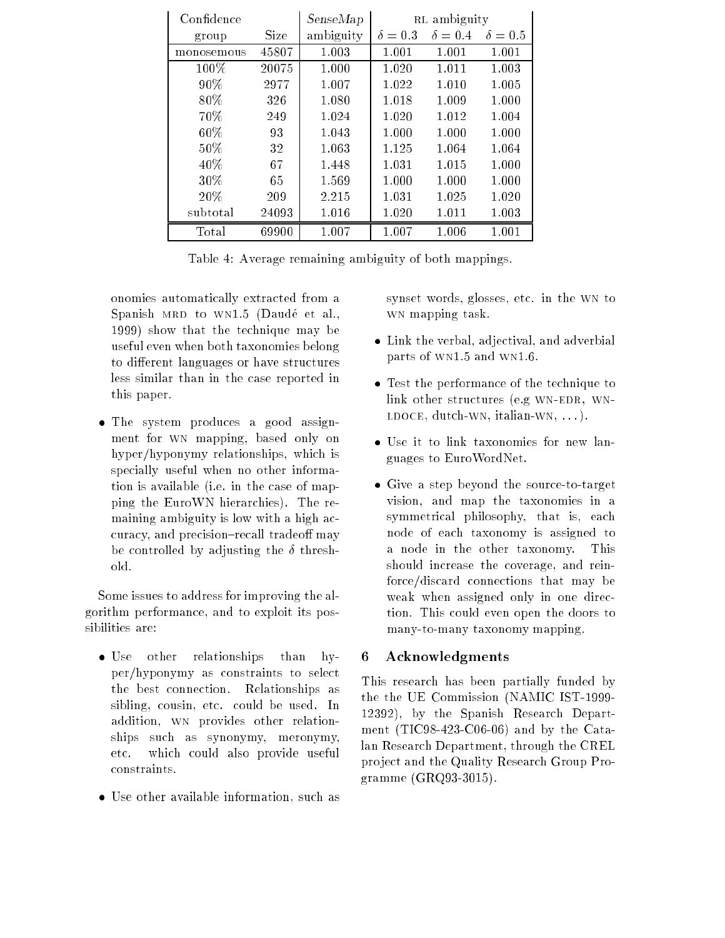| Confidence |       | SenseMap  | RL ambiguity   |                |                |
|------------|-------|-----------|----------------|----------------|----------------|
| group      | Size  | ambiguity | $\delta = 0.3$ | $\delta = 0.4$ | $\delta = 0.5$ |
| monosemous | 45807 | 1.003     | 1.001          | 1.001          | 1.001          |
| $100\%$    | 20075 | 1.000     | 1.020          | 1.011          | 1.003          |
| 90%        | 2977  | 1.007     | 1.022          | 1.010          | 1.005          |
| 80%        | 326   | 1.080     | 1.018          | 1.009          | 1.000          |
| 70%        | 249   | 1.024     | 1.020          | 1.012          | 1.004          |
| $60\%$     | 93    | 1.043     | 1.000          | 1.000          | 1.000          |
| $50\%$     | 32    | 1.063     | 1.125          | 1.064          | 1.064          |
| 40%        | 67    | 1.448     | 1.031          | 1.015          | 1.000          |
| $30\%$     | 65    | 1.569     | 1.000          | 1.000          | 1.000          |
| 20%        | 209   | 2.215     | 1.031          | 1.025          | 1.020          |
| subtotal   | 24093 | 1.016     | 1.020          | 1.011          | 1.003          |
| Total      | 69900 | 1.007     | 1.007          | 1.006          | 1.001          |

Table 4: Average remaining ambiguity of both mappings.

onomies automatically extracted from a Spanish MRD to WN1.5 (Daudé et al., 1999) show that the technique may be useful even when both taxonomies belong to different languages or have structures less similar than in the case reported in this paper.

 The system produces a good assignment for wn mapping, based only on hyper/hyponymy relationships, which is specially useful when no other information is available (i.e. in the case of mapping the EuroWN hierarchies). The remaining ambiguity is low with a high accuracy, and precision-recall tradeoff may be controlled by adjusting the  $\delta$  threshold.

Some issues to address for improving the algorithm performance, and to exploit its possibilities are:

- Use other relationships than hyper/hyponymy as constraints to select the best connection. Relationships as sibling, cousin, etc. could be used. In addition, wn provides other relationships such as synonymy, meronymy, etc. which could also provide useful constraints.
- Use other available information, such as

synset words, glosses, etc. in the wn to  $\cdots$  mapping two  $\cdots$ 

- Link the verbal, adjectival, and adverbial parts of wn1.5 and wn1.6.
- Test the performance of the technique to link other structures (e.g WN-EDR, WN- $LDOCE$ , dutch-WN, italian-WN,  $\dots$ ).
- Use it to link taxonomies for new languages to EuroWordNet.
- Give a step beyond the source-to-target vision, and map the taxonomies in a symmetrical philosophy, that is, each node of each taxonomy is assigned to a node in the other taxonomy. This should increase the coverage, and reinforce/discard connections that may be weak when assigned only in one direction. This could even open the doors to many-to-many taxonomy mapping.

## 6 Acknowledgments

This research has been partially funded by the the UE Commission (NAMIC IST-1999- 12392), by the Spanish Research Department (TIC98-423-C06-06) and by the Catalan Research Department, through the CREL pro ject and the Quality Research Group Programme (GRQ93-3015).